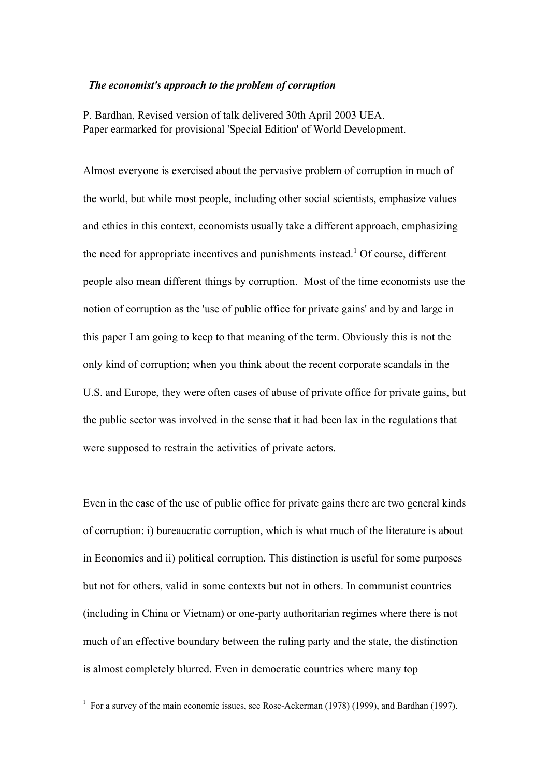## *The economist's approach to the problem of corruption*

P. Bardhan, Revised version of talk delivered 30th April 2003 UEA. Paper earmarked for provisional 'Special Edition' of World Development.

Almost everyone is exercised about the pervasive problem of corruption in much of the world, but while most people, including other social scientists, emphasize values and ethics in this context, economists usually take a different approach, emphasizing the need for appropriate incentives and punishments instead.<sup>1</sup> Of course, different people also mean different things by corruption. Most of the time economists use the notion of corruption as the 'use of public office for private gains' and by and large in this paper I am going to keep to that meaning of the term. Obviously this is not the only kind of corruption; when you think about the recent corporate scandals in the U.S. and Europe, they were often cases of abuse of private office for private gains, but the public sector was involved in the sense that it had been lax in the regulations that were supposed to restrain the activities of private actors.

Even in the case of the use of public office for private gains there are two general kinds of corruption: i) bureaucratic corruption, which is what much of the literature is about in Economics and ii) political corruption. This distinction is useful for some purposes but not for others, valid in some contexts but not in others. In communist countries (including in China or Vietnam) or one-party authoritarian regimes where there is not much of an effective boundary between the ruling party and the state, the distinction is almost completely blurred. Even in democratic countries where many top

 1 For a survey of the main economic issues, see Rose-Ackerman (1978) (1999), and Bardhan (1997).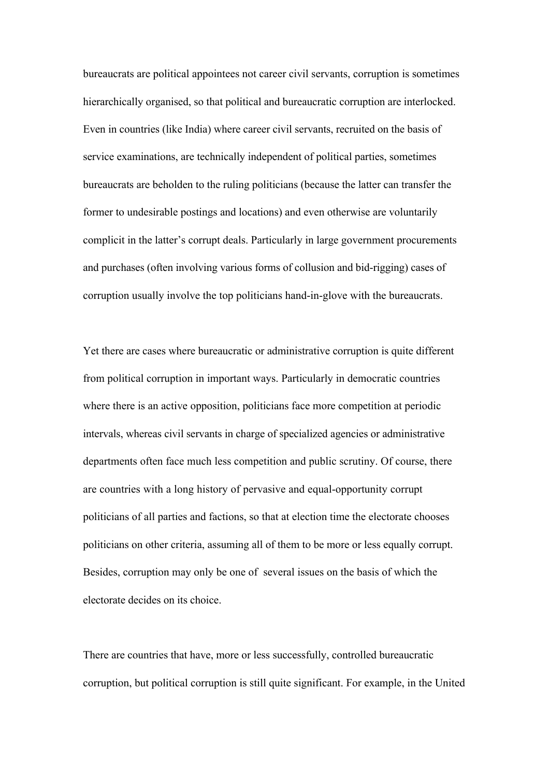bureaucrats are political appointees not career civil servants, corruption is sometimes hierarchically organised, so that political and bureaucratic corruption are interlocked. Even in countries (like India) where career civil servants, recruited on the basis of service examinations, are technically independent of political parties, sometimes bureaucrats are beholden to the ruling politicians (because the latter can transfer the former to undesirable postings and locations) and even otherwise are voluntarily complicit in the latter's corrupt deals. Particularly in large government procurements and purchases (often involving various forms of collusion and bid-rigging) cases of corruption usually involve the top politicians hand-in-glove with the bureaucrats.

Yet there are cases where bureaucratic or administrative corruption is quite different from political corruption in important ways. Particularly in democratic countries where there is an active opposition, politicians face more competition at periodic intervals, whereas civil servants in charge of specialized agencies or administrative departments often face much less competition and public scrutiny. Of course, there are countries with a long history of pervasive and equal-opportunity corrupt politicians of all parties and factions, so that at election time the electorate chooses politicians on other criteria, assuming all of them to be more or less equally corrupt. Besides, corruption may only be one of several issues on the basis of which the electorate decides on its choice.

There are countries that have, more or less successfully, controlled bureaucratic corruption, but political corruption is still quite significant. For example, in the United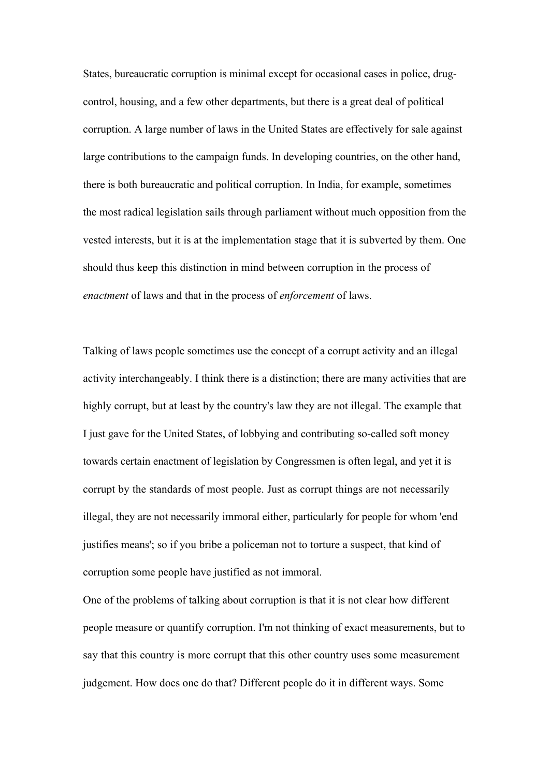States, bureaucratic corruption is minimal except for occasional cases in police, drugcontrol, housing, and a few other departments, but there is a great deal of political corruption. A large number of laws in the United States are effectively for sale against large contributions to the campaign funds. In developing countries, on the other hand, there is both bureaucratic and political corruption. In India, for example, sometimes the most radical legislation sails through parliament without much opposition from the vested interests, but it is at the implementation stage that it is subverted by them. One should thus keep this distinction in mind between corruption in the process of *enactment* of laws and that in the process of *enforcement* of laws.

Talking of laws people sometimes use the concept of a corrupt activity and an illegal activity interchangeably. I think there is a distinction; there are many activities that are highly corrupt, but at least by the country's law they are not illegal. The example that I just gave for the United States, of lobbying and contributing so-called soft money towards certain enactment of legislation by Congressmen is often legal, and yet it is corrupt by the standards of most people. Just as corrupt things are not necessarily illegal, they are not necessarily immoral either, particularly for people for whom 'end justifies means'; so if you bribe a policeman not to torture a suspect, that kind of corruption some people have justified as not immoral.

One of the problems of talking about corruption is that it is not clear how different people measure or quantify corruption. I'm not thinking of exact measurements, but to say that this country is more corrupt that this other country uses some measurement judgement. How does one do that? Different people do it in different ways. Some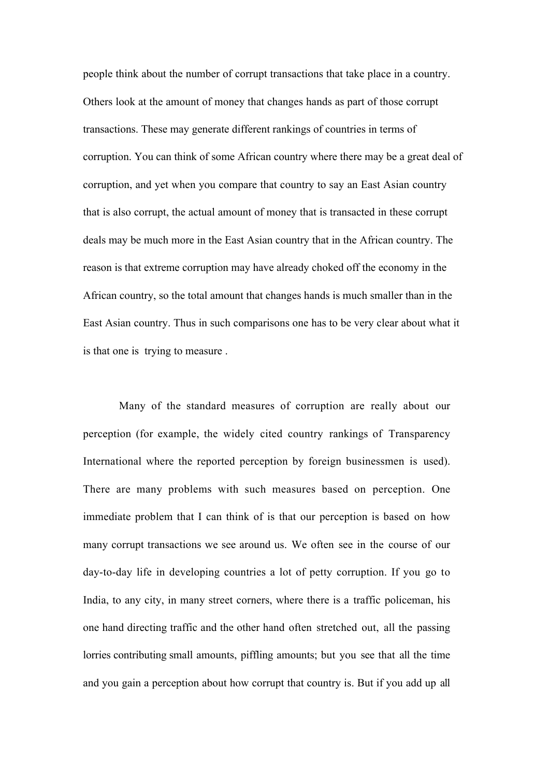people think about the number of corrupt transactions that take place in a country. Others look at the amount of money that changes hands as part of those corrupt transactions. These may generate different rankings of countries in terms of corruption. You can think of some African country where there may be a great deal of corruption, and yet when you compare that country to say an East Asian country that is also corrupt, the actual amount of money that is transacted in these corrupt deals may be much more in the East Asian country that in the African country. The reason is that extreme corruption may have already choked off the economy in the African country, so the total amount that changes hands is much smaller than in the East Asian country. Thus in such comparisons one has to be very clear about what it is that one is trying to measure .

Many of the standard measures of corruption are really about our perception (for example, the widely cited country rankings of Transparency International where the reported perception by foreign businessmen is used). There are many problems with such measures based on perception. One immediate problem that I can think of is that our perception is based on how many corrupt transactions we see around us. We often see in the course of our day-to-day life in developing countries a lot of petty corruption. If you go to India, to any city, in many street corners, where there is a traffic policeman, his one hand directing traffic and the other hand often stretched out, all the passing lorries contributing small amounts, piffling amounts; but you see that all the time and you gain a perception about how corrupt that country is. But if you add up all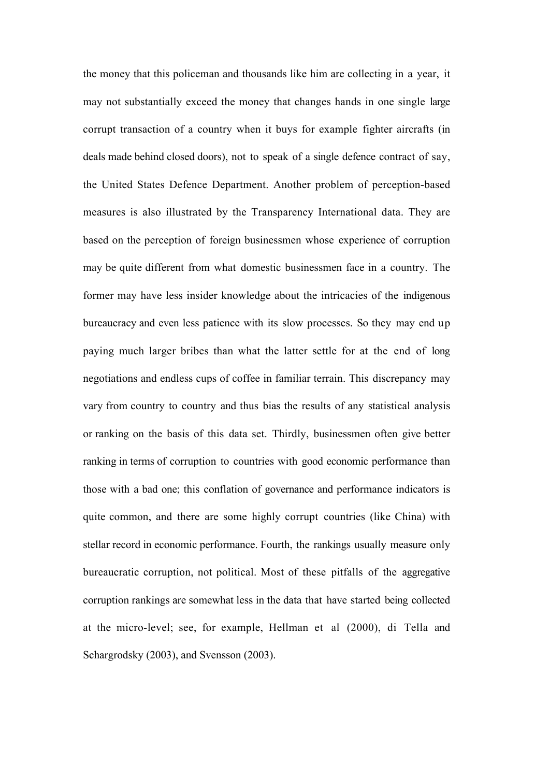the money that this policeman and thousands like him are collecting in a year, it may not substantially exceed the money that changes hands in one single large corrupt transaction of a country when it buys for example fighter aircrafts (in deals made behind closed doors), not to speak of a single defence contract of say, the United States Defence Department. Another problem of perception-based measures is also illustrated by the Transparency International data. They are based on the perception of foreign businessmen whose experience of corruption may be quite different from what domestic businessmen face in a country. The former may have less insider knowledge about the intricacies of the indigenous bureaucracy and even less patience with its slow processes. So they may end up paying much larger bribes than what the latter settle for at the end of long negotiations and endless cups of coffee in familiar terrain. This discrepancy may vary from country to country and thus bias the results of any statistical analysis or ranking on the basis of this data set. Thirdly, businessmen often give better ranking in terms of corruption to countries with good economic performance than those with a bad one; this conflation of governance and performance indicators is quite common, and there are some highly corrupt countries (like China) with stellar record in economic performance. Fourth, the rankings usually measure only bureaucratic corruption, not political. Most of these pitfalls of the aggregative corruption rankings are somewhat less in the data that have started being collected at the micro-level; see, for example, Hellman et al (2000), di Tella and Schargrodsky (2003), and Svensson (2003).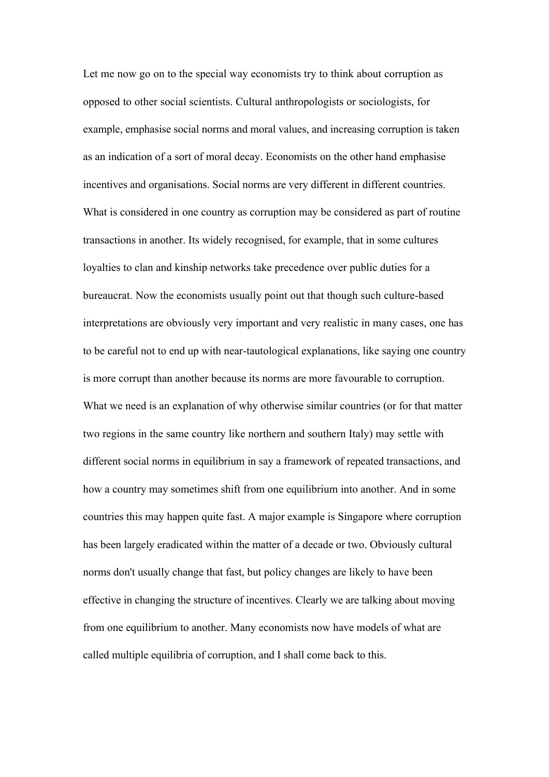Let me now go on to the special way economists try to think about corruption as opposed to other social scientists. Cultural anthropologists or sociologists, for example, emphasise social norms and moral values, and increasing corruption is taken as an indication of a sort of moral decay. Economists on the other hand emphasise incentives and organisations. Social norms are very different in different countries. What is considered in one country as corruption may be considered as part of routine transactions in another. Its widely recognised, for example, that in some cultures loyalties to clan and kinship networks take precedence over public duties for a bureaucrat. Now the economists usually point out that though such culture-based interpretations are obviously very important and very realistic in many cases, one has to be careful not to end up with near-tautological explanations, like saying one country is more corrupt than another because its norms are more favourable to corruption. What we need is an explanation of why otherwise similar countries (or for that matter two regions in the same country like northern and southern Italy) may settle with different social norms in equilibrium in say a framework of repeated transactions, and how a country may sometimes shift from one equilibrium into another. And in some countries this may happen quite fast. A major example is Singapore where corruption has been largely eradicated within the matter of a decade or two. Obviously cultural norms don't usually change that fast, but policy changes are likely to have been effective in changing the structure of incentives. Clearly we are talking about moving from one equilibrium to another. Many economists now have models of what are called multiple equilibria of corruption, and I shall come back to this.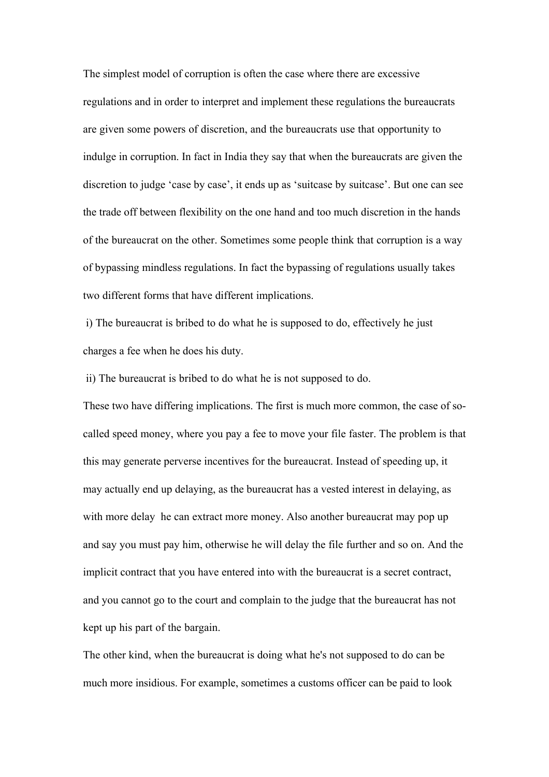The simplest model of corruption is often the case where there are excessive regulations and in order to interpret and implement these regulations the bureaucrats are given some powers of discretion, and the bureaucrats use that opportunity to indulge in corruption. In fact in India they say that when the bureaucrats are given the discretion to judge 'case by case', it ends up as 'suitcase by suitcase'. But one can see the trade off between flexibility on the one hand and too much discretion in the hands of the bureaucrat on the other. Sometimes some people think that corruption is a way of bypassing mindless regulations. In fact the bypassing of regulations usually takes two different forms that have different implications.

i) The bureaucrat is bribed to do what he is supposed to do, effectively he just charges a fee when he does his duty.

ii) The bureaucrat is bribed to do what he is not supposed to do.

These two have differing implications. The first is much more common, the case of socalled speed money, where you pay a fee to move your file faster. The problem is that this may generate perverse incentives for the bureaucrat. Instead of speeding up, it may actually end up delaying, as the bureaucrat has a vested interest in delaying, as with more delay he can extract more money. Also another bureaucrat may pop up and say you must pay him, otherwise he will delay the file further and so on. And the implicit contract that you have entered into with the bureaucrat is a secret contract, and you cannot go to the court and complain to the judge that the bureaucrat has not kept up his part of the bargain.

The other kind, when the bureaucrat is doing what he's not supposed to do can be much more insidious. For example, sometimes a customs officer can be paid to look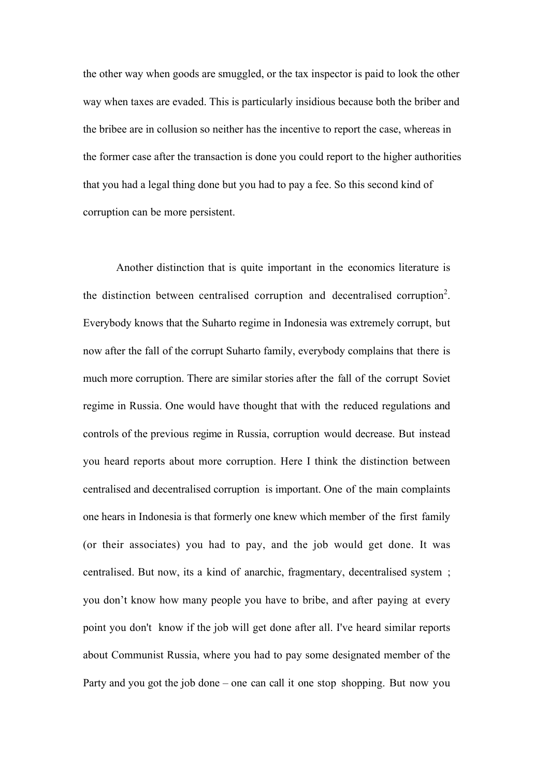the other way when goods are smuggled, or the tax inspector is paid to look the other way when taxes are evaded. This is particularly insidious because both the briber and the bribee are in collusion so neither has the incentive to report the case, whereas in the former case after the transaction is done you could report to the higher authorities that you had a legal thing done but you had to pay a fee. So this second kind of corruption can be more persistent.

Another distinction that is quite important in the economics literature is the distinction between centralised corruption and decentralised corruption<sup>2</sup>. Everybody knows that the Suharto regime in Indonesia was extremely corrupt, but now after the fall of the corrupt Suharto family, everybody complains that there is much more corruption. There are similar stories after the fall of the corrupt Soviet regime in Russia. One would have thought that with the reduced regulations and controls of the previous regime in Russia, corruption would decrease. But instead you heard reports about more corruption. Here I think the distinction between centralised and decentralised corruption is important. One of the main complaints one hears in Indonesia is that formerly one knew which member of the first family (or their associates) you had to pay, and the job would get done. It was centralised. But now, its a kind of anarchic, fragmentary, decentralised system ; you don't know how many people you have to bribe, and after paying at every point you don't know if the job will get done after all. I've heard similar reports about Communist Russia, where you had to pay some designated member of the Party and you got the job done – one can call it one stop shopping. But now you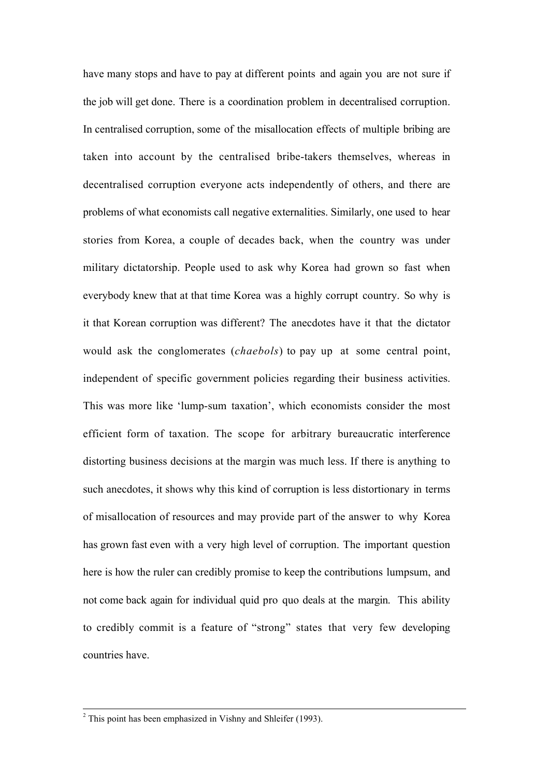have many stops and have to pay at different points and again you are not sure if the job will get done. There is a coordination problem in decentralised corruption. In centralised corruption, some of the misallocation effects of multiple bribing are taken into account by the centralised bribe-takers themselves, whereas in decentralised corruption everyone acts independently of others, and there are problems of what economists call negative externalities. Similarly, one used to hear stories from Korea, a couple of decades back, when the country was under military dictatorship. People used to ask why Korea had grown so fast when everybody knew that at that time Korea was a highly corrupt country. So why is it that Korean corruption was different? The anecdotes have it that the dictator would ask the conglomerates (*chaebols*) to pay up at some central point, independent of specific government policies regarding their business activities. This was more like 'lump-sum taxation', which economists consider the most efficient form of taxation. The scope for arbitrary bureaucratic interference distorting business decisions at the margin was much less. If there is anything to such anecdotes, it shows why this kind of corruption is less distortionary in terms of misallocation of resources and may provide part of the answer to why Korea has grown fast even with a very high level of corruption. The important question here is how the ruler can credibly promise to keep the contributions lumpsum, and not come back again for individual quid pro quo deals at the margin. This ability to credibly commit is a feature of "strong" states that very few developing countries have.

 $\overline{a}$ 

 $2$ <sup>2</sup> This point has been emphasized in Vishny and Shleifer (1993).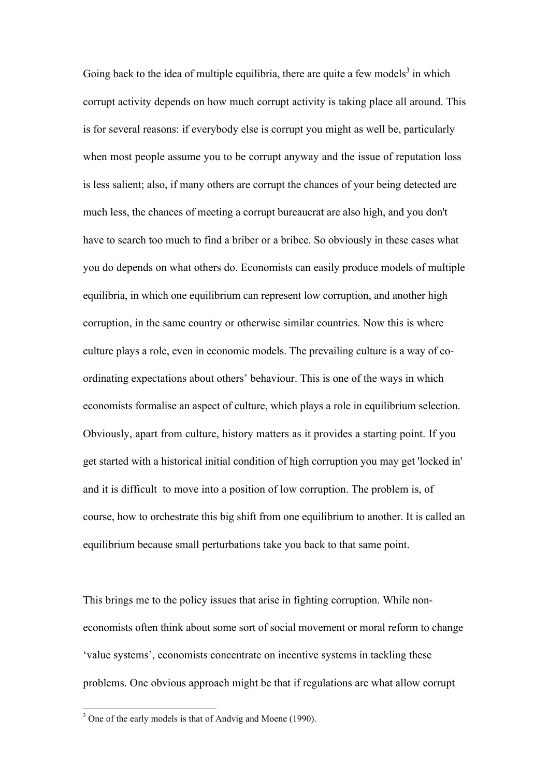Going back to the idea of multiple equilibria, there are quite a few models<sup>3</sup> in which corrupt activity depends on how much corrupt activity is taking place all around. This is for several reasons: if everybody else is corrupt you might as well be, particularly when most people assume you to be corrupt anyway and the issue of reputation loss is less salient; also, if many others are corrupt the chances of your being detected are much less, the chances of meeting a corrupt bureaucrat are also high, and you don't have to search too much to find a briber or a bribee. So obviously in these cases what you do depends on what others do. Economists can easily produce models of multiple equilibria, in which one equilibrium can represent low corruption, and another high corruption, in the same country or otherwise similar countries. Now this is where culture plays a role, even in economic models. The prevailing culture is a way of coordinating expectations about others' behaviour. This is one of the ways in which economists formalise an aspect of culture, which plays a role in equilibrium selection. Obviously, apart from culture, history matters as it provides a starting point. If you get started with a historical initial condition of high corruption you may get 'locked in' and it is difficult to move into a position of low corruption. The problem is, of course, how to orchestrate this big shift from one equilibrium to another. It is called an equilibrium because small perturbations take you back to that same point.

This brings me to the policy issues that arise in fighting corruption. While noneconomists often think about some sort of social movement or moral reform to change 'value systems', economists concentrate on incentive systems in tackling these problems. One obvious approach might be that if regulations are what allow corrupt

 $\overline{a}$ 

 $3$  One of the early models is that of Andvig and Moene (1990).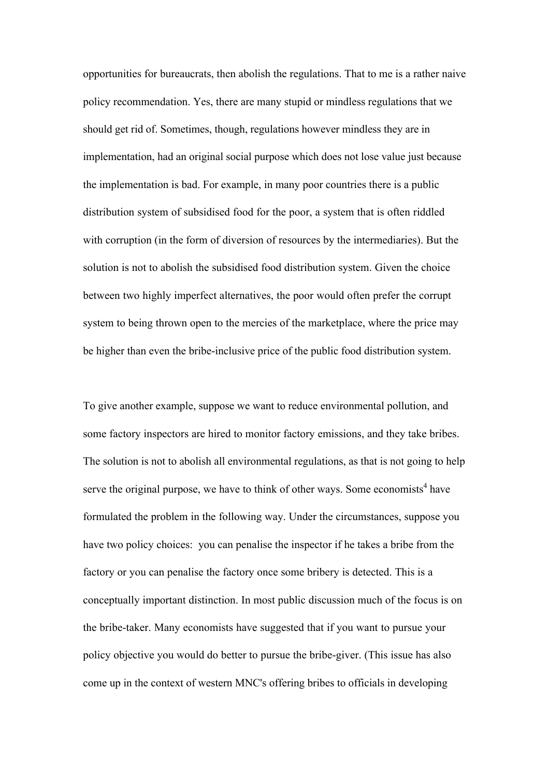opportunities for bureaucrats, then abolish the regulations. That to me is a rather naive policy recommendation. Yes, there are many stupid or mindless regulations that we should get rid of. Sometimes, though, regulations however mindless they are in implementation, had an original social purpose which does not lose value just because the implementation is bad. For example, in many poor countries there is a public distribution system of subsidised food for the poor, a system that is often riddled with corruption (in the form of diversion of resources by the intermediaries). But the solution is not to abolish the subsidised food distribution system. Given the choice between two highly imperfect alternatives, the poor would often prefer the corrupt system to being thrown open to the mercies of the marketplace, where the price may be higher than even the bribe-inclusive price of the public food distribution system.

To give another example, suppose we want to reduce environmental pollution, and some factory inspectors are hired to monitor factory emissions, and they take bribes. The solution is not to abolish all environmental regulations, as that is not going to help serve the original purpose, we have to think of other ways. Some economists<sup>4</sup> have formulated the problem in the following way. Under the circumstances, suppose you have two policy choices: you can penalise the inspector if he takes a bribe from the factory or you can penalise the factory once some bribery is detected. This is a conceptually important distinction. In most public discussion much of the focus is on the bribe-taker. Many economists have suggested that if you want to pursue your policy objective you would do better to pursue the bribe-giver. (This issue has also come up in the context of western MNC's offering bribes to officials in developing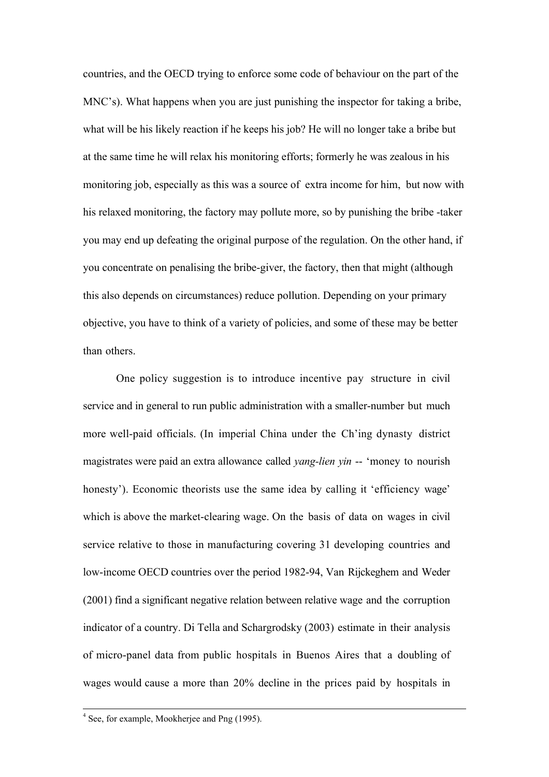countries, and the OECD trying to enforce some code of behaviour on the part of the MNC's). What happens when you are just punishing the inspector for taking a bribe, what will be his likely reaction if he keeps his job? He will no longer take a bribe but at the same time he will relax his monitoring efforts; formerly he was zealous in his monitoring job, especially as this was a source of extra income for him, but now with his relaxed monitoring, the factory may pollute more, so by punishing the bribe -taker you may end up defeating the original purpose of the regulation. On the other hand, if you concentrate on penalising the bribe-giver, the factory, then that might (although this also depends on circumstances) reduce pollution. Depending on your primary objective, you have to think of a variety of policies, and some of these may be better than others.

One policy suggestion is to introduce incentive pay structure in civil service and in general to run public administration with a smaller-number but much more well-paid officials. (In imperial China under the Ch'ing dynasty district magistrates were paid an extra allowance called *yang-lien yin* -- 'money to nourish honesty'). Economic theorists use the same idea by calling it 'efficiency wage' which is above the market-clearing wage. On the basis of data on wages in civil service relative to those in manufacturing covering 31 developing countries and low-income OECD countries over the period 1982-94, Van Rijckeghem and Weder (2001) find a significant negative relation between relative wage and the corruption indicator of a country. Di Tella and Schargrodsky (2003) estimate in their analysis of micro-panel data from public hospitals in Buenos Aires that a doubling of wages would cause a more than 20% decline in the prices paid by hospitals in

 <sup>4</sup> See, for example, Mookherjee and Png (1995).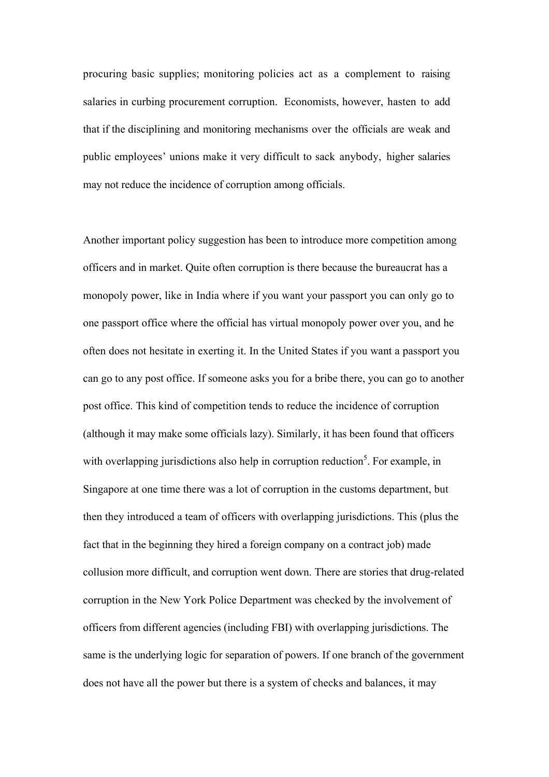procuring basic supplies; monitoring policies act as a complement to raising salaries in curbing procurement corruption. Economists, however, hasten to add that if the disciplining and monitoring mechanisms over the officials are weak and public employees' unions make it very difficult to sack anybody, higher salaries may not reduce the incidence of corruption among officials.

Another important policy suggestion has been to introduce more competition among officers and in market. Quite often corruption is there because the bureaucrat has a monopoly power, like in India where if you want your passport you can only go to one passport office where the official has virtual monopoly power over you, and he often does not hesitate in exerting it. In the United States if you want a passport you can go to any post office. If someone asks you for a bribe there, you can go to another post office. This kind of competition tends to reduce the incidence of corruption (although it may make some officials lazy). Similarly, it has been found that officers with overlapping jurisdictions also help in corruption reduction<sup>5</sup>. For example, in Singapore at one time there was a lot of corruption in the customs department, but then they introduced a team of officers with overlapping jurisdictions. This (plus the fact that in the beginning they hired a foreign company on a contract job) made collusion more difficult, and corruption went down. There are stories that drug-related corruption in the New York Police Department was checked by the involvement of officers from different agencies (including FBI) with overlapping jurisdictions. The same is the underlying logic for separation of powers. If one branch of the government does not have all the power but there is a system of checks and balances, it may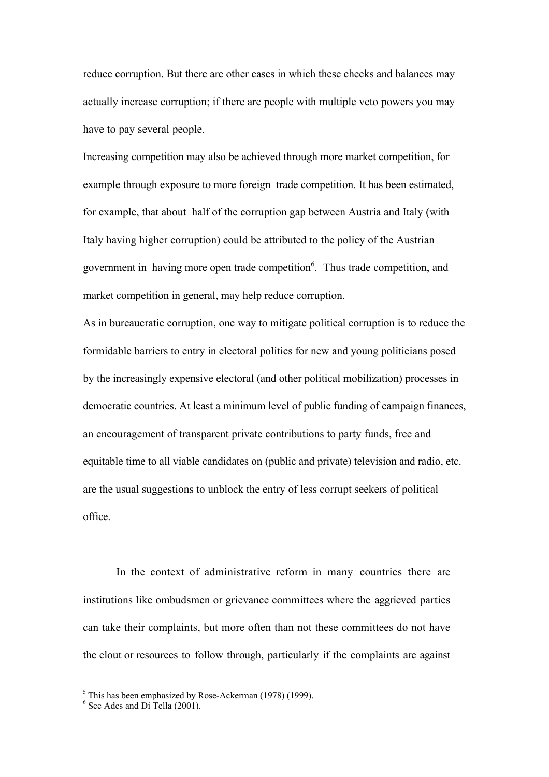reduce corruption. But there are other cases in which these checks and balances may actually increase corruption; if there are people with multiple veto powers you may have to pay several people.

Increasing competition may also be achieved through more market competition, for example through exposure to more foreign trade competition. It has been estimated, for example, that about half of the corruption gap between Austria and Italy (with Italy having higher corruption) could be attributed to the policy of the Austrian government in having more open trade competition<sup>6</sup>. Thus trade competition, and market competition in general, may help reduce corruption.

As in bureaucratic corruption, one way to mitigate political corruption is to reduce the formidable barriers to entry in electoral politics for new and young politicians posed by the increasingly expensive electoral (and other political mobilization) processes in democratic countries. At least a minimum level of public funding of campaign finances, an encouragement of transparent private contributions to party funds, free and equitable time to all viable candidates on (public and private) television and radio, etc. are the usual suggestions to unblock the entry of less corrupt seekers of political office.

In the context of administrative reform in many countries there are institutions like ombudsmen or grievance committees where the aggrieved parties can take their complaints, but more often than not these committees do not have the clout or resources to follow through, particularly if the complaints are against

 <sup>5</sup> This has been emphasized by Rose-Ackerman (1978) (1999).

 $6$  See Ades and Di Tella (2001).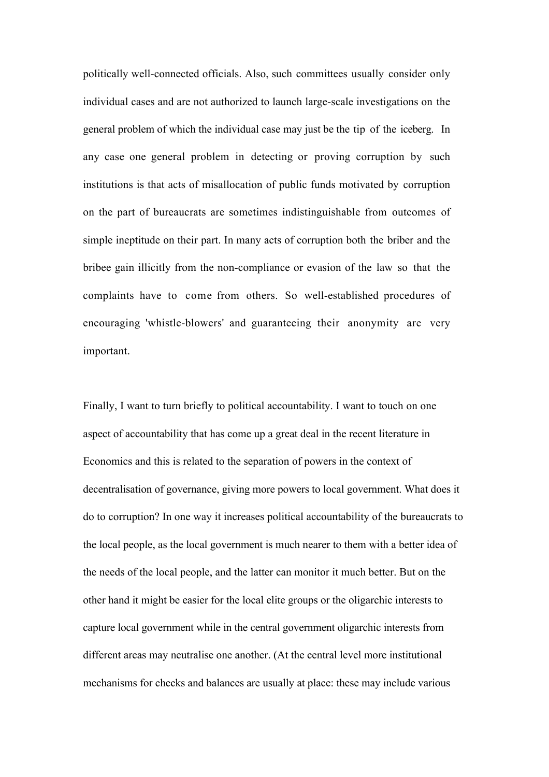politically well-connected officials. Also, such committees usually consider only individual cases and are not authorized to launch large-scale investigations on the general problem of which the individual case may just be the tip of the iceberg. In any case one general problem in detecting or proving corruption by such institutions is that acts of misallocation of public funds motivated by corruption on the part of bureaucrats are sometimes indistinguishable from outcomes of simple ineptitude on their part. In many acts of corruption both the briber and the bribee gain illicitly from the non-compliance or evasion of the law so that the complaints have to come from others. So well-established procedures of encouraging 'whistle-blowers' and guaranteeing their anonymity are very important.

Finally, I want to turn briefly to political accountability. I want to touch on one aspect of accountability that has come up a great deal in the recent literature in Economics and this is related to the separation of powers in the context of decentralisation of governance, giving more powers to local government. What does it do to corruption? In one way it increases political accountability of the bureaucrats to the local people, as the local government is much nearer to them with a better idea of the needs of the local people, and the latter can monitor it much better. But on the other hand it might be easier for the local elite groups or the oligarchic interests to capture local government while in the central government oligarchic interests from different areas may neutralise one another. (At the central level more institutional mechanisms for checks and balances are usually at place: these may include various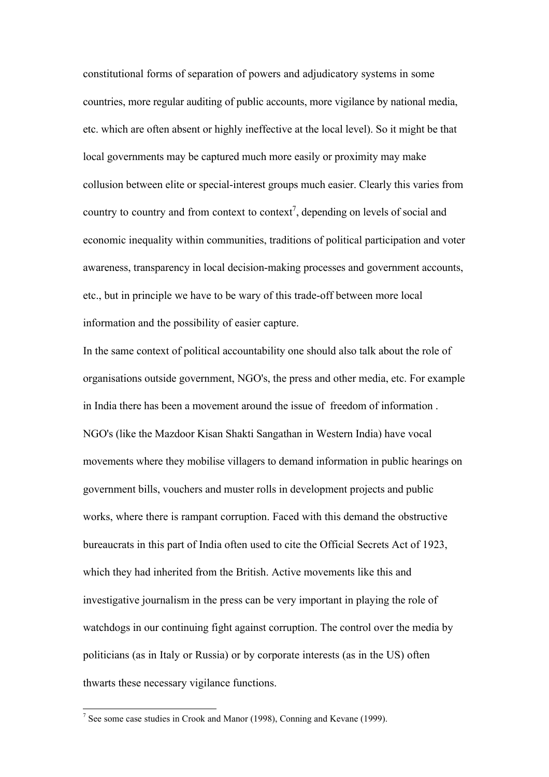constitutional forms of separation of powers and adjudicatory systems in some countries, more regular auditing of public accounts, more vigilance by national media, etc. which are often absent or highly ineffective at the local level). So it might be that local governments may be captured much more easily or proximity may make collusion between elite or special-interest groups much easier. Clearly this varies from country to country and from context to context<sup>7</sup>, depending on levels of social and economic inequality within communities, traditions of political participation and voter awareness, transparency in local decision-making processes and government accounts, etc., but in principle we have to be wary of this trade-off between more local information and the possibility of easier capture.

In the same context of political accountability one should also talk about the role of organisations outside government, NGO's, the press and other media, etc. For example in India there has been a movement around the issue of freedom of information . NGO's (like the Mazdoor Kisan Shakti Sangathan in Western India) have vocal movements where they mobilise villagers to demand information in public hearings on government bills, vouchers and muster rolls in development projects and public works, where there is rampant corruption. Faced with this demand the obstructive bureaucrats in this part of India often used to cite the Official Secrets Act of 1923, which they had inherited from the British. Active movements like this and investigative journalism in the press can be very important in playing the role of watchdogs in our continuing fight against corruption. The control over the media by politicians (as in Italy or Russia) or by corporate interests (as in the US) often thwarts these necessary vigilance functions.

 $\overline{a}$ 

<sup>&</sup>lt;sup>7</sup> See some case studies in Crook and Manor (1998), Conning and Kevane (1999).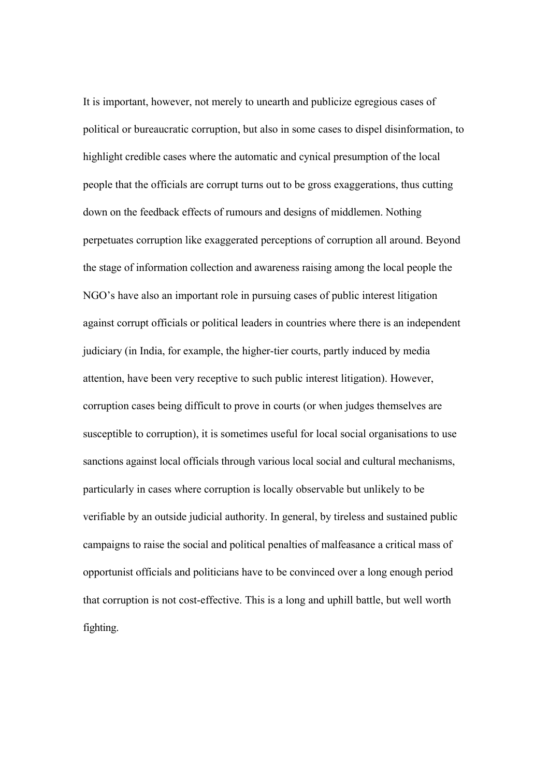It is important, however, not merely to unearth and publicize egregious cases of political or bureaucratic corruption, but also in some cases to dispel disinformation, to highlight credible cases where the automatic and cynical presumption of the local people that the officials are corrupt turns out to be gross exaggerations, thus cutting down on the feedback effects of rumours and designs of middlemen. Nothing perpetuates corruption like exaggerated perceptions of corruption all around. Beyond the stage of information collection and awareness raising among the local people the NGO's have also an important role in pursuing cases of public interest litigation against corrupt officials or political leaders in countries where there is an independent judiciary (in India, for example, the higher-tier courts, partly induced by media attention, have been very receptive to such public interest litigation). However, corruption cases being difficult to prove in courts (or when judges themselves are susceptible to corruption), it is sometimes useful for local social organisations to use sanctions against local officials through various local social and cultural mechanisms, particularly in cases where corruption is locally observable but unlikely to be verifiable by an outside judicial authority. In general, by tireless and sustained public campaigns to raise the social and political penalties of malfeasance a critical mass of opportunist officials and politicians have to be convinced over a long enough period that corruption is not cost-effective. This is a long and uphill battle, but well worth fighting.